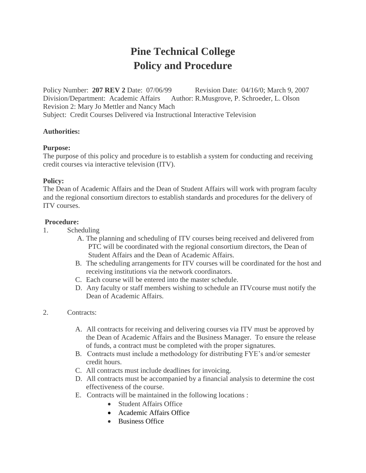# **Pine Technical College Policy and Procedure**

Policy Number: **207 REV 2** Date: 07/06/99 Revision Date: 04/16/0; March 9, 2007 Division/Department: Academic Affairs Author: R.Musgrove, P. Schroeder, L. Olson Revision 2: Mary Jo Mettler and Nancy Mach Subject: Credit Courses Delivered via Instructional Interactive Television

## **Authorities:**

## **Purpose:**

The purpose of this policy and procedure is to establish a system for conducting and receiving credit courses via interactive television (ITV).

## **Policy:**

The Dean of Academic Affairs and the Dean of Student Affairs will work with program faculty and the regional consortium directors to establish standards and procedures for the delivery of ITV courses.

## **Procedure:**

- 1. Scheduling
	- A. The planning and scheduling of ITV courses being received and delivered from PTC will be coordinated with the regional consortium directors, the Dean of Student Affairs and the Dean of Academic Affairs.
	- B. The scheduling arrangements for ITV courses will be coordinated for the host and receiving institutions via the network coordinators.
	- C. Each course will be entered into the master schedule.
	- D. Any faculty or staff members wishing to schedule an ITVcourse must notify the Dean of Academic Affairs.
- 2. Contracts:
	- A. All contracts for receiving and delivering courses via ITV must be approved by the Dean of Academic Affairs and the Business Manager. To ensure the release of funds, a contract must be completed with the proper signatures.
	- B. Contracts must include a methodology for distributing FYE's and/or semester credit hours.
	- C. All contracts must include deadlines for invoicing.
	- D. All contracts must be accompanied by a financial analysis to determine the cost effectiveness of the course.
	- E. Contracts will be maintained in the following locations :
		- Student Affairs Office
		- Academic Affairs Office
		- Business Office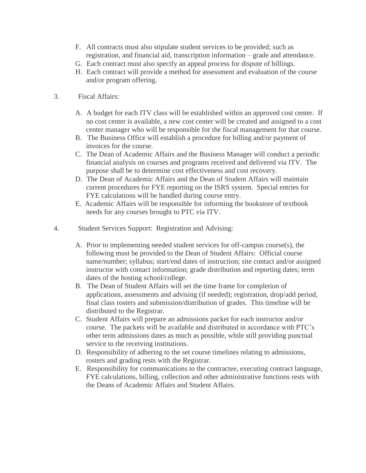- F. All contracts must also stipulate student services to be provided; such as registration, and financial aid, transcription information – grade and attendance.
- G. Each contract must also specify an appeal process for dispute of billings.
- H. Each contract will provide a method for assessment and evaluation of the course and/or program offering.
- 3. Fiscal Affairs:
	- A. A budget for each ITV class will be established within an approved cost center. If no cost center is available, a new cost center will be created and assigned to a cost center manager who will be responsible for the fiscal management for that course.
	- B. The Business Office will establish a procedure for billing and/or payment of invoices for the course.
	- C. The Dean of Academic Affairs and the Business Manager will conduct a periodic financial analysis on courses and programs received and delivered via ITV. The purpose shall be to determine cost effectiveness and cost recovery.
	- D. The Dean of Academic Affairs and the Dean of Student Affairs will maintain current procedures for FYE reporting on the ISRS system. Special entries for FYE calculations will be handled during course entry.
	- E. Academic Affairs will be responsible for informing the bookstore of textbook needs for any courses brought to PTC via ITV.
- 4. Student Services Support: Registration and Advising:
	- A. Prior to implementing needed student services for off-campus course(s), the following must be provided to the Dean of Student Affairs: Official course name/number; syllabus; start/end dates of instruction; site contact and/or assigned instructor with contact information; grade distribution and reporting dates; term dates of the hosting school/college.
	- B. The Dean of Student Affairs will set the time frame for completion of applications, assessments and advising (if needed); registration, drop/add period, final class rosters and submission/distribution of grades. This timeline will be distributed to the Registrar.
	- C. Student Affairs will prepare an admissions packet for each instructor and/or course. The packets will be available and distributed in accordance with PTC's other term admissions dates as much as possible, while still providing punctual service to the receiving institutions.
	- D. Responsibility of adhering to the set course timelines relating to admissions, rosters and grading rests with the Registrar.
	- E. Responsibility for communications to the contractee, executing contract language, FYE calculations, billing, collection and other administrative functions rests with the Deans of Academic Affairs and Student Affairs.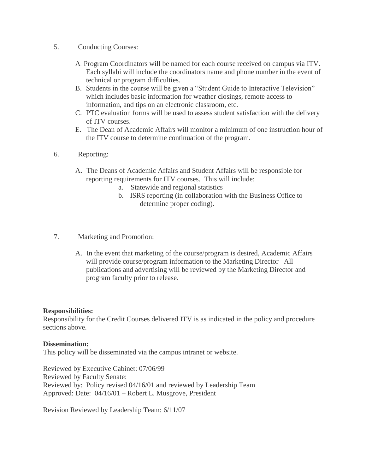- 5. Conducting Courses:
	- A. Program Coordinators will be named for each course received on campus via ITV. Each syllabi will include the coordinators name and phone number in the event of technical or program difficulties.
	- B. Students in the course will be given a "Student Guide to Interactive Television" which includes basic information for weather closings, remote access to information, and tips on an electronic classroom, etc.
	- C. PTC evaluation forms will be used to assess student satisfaction with the delivery of ITV courses.
	- E. The Dean of Academic Affairs will monitor a minimum of one instruction hour of the ITV course to determine continuation of the program.
- 6. Reporting:
	- A. The Deans of Academic Affairs and Student Affairs will be responsible for reporting requirements for ITV courses. This will include:
		- a. Statewide and regional statistics
		- b. ISRS reporting (in collaboration with the Business Office to determine proper coding).
- 7. Marketing and Promotion:
	- A. In the event that marketing of the course/program is desired, Academic Affairs will provide course/program information to the Marketing Director All publications and advertising will be reviewed by the Marketing Director and program faculty prior to release.

#### **Responsibilities:**

Responsibility for the Credit Courses delivered ITV is as indicated in the policy and procedure sections above.

#### **Dissemination:**

This policy will be disseminated via the campus intranet or website.

Reviewed by Executive Cabinet: 07/06/99 Reviewed by Faculty Senate: Reviewed by: Policy revised 04/16/01 and reviewed by Leadership Team Approved: Date: 04/16/01 – Robert L. Musgrove, President

Revision Reviewed by Leadership Team: 6/11/07